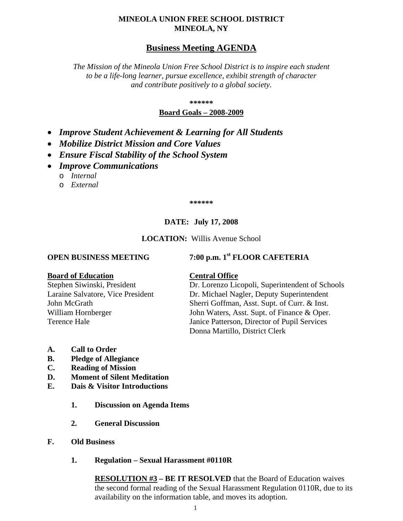#### **MINEOLA UNION FREE SCHOOL DISTRICT MINEOLA, NY**

### **Business Meeting AGENDA**

*The Mission of the Mineola Union Free School District is to inspire each student to be a life-long learner, pursue excellence, exhibit strength of character and contribute positively to a global society.*

**\*\*\*\*\*\***

#### **Board Goals – 2008-2009**

- *Improve Student Achievement & Learning for All Students*
- *Mobilize District Mission and Core Values*
- *Ensure Fiscal Stability of the School System*
- *Improve Communications*
	- o *Internal*
	- o *External*

**\*\*\*\*\*\***

#### **DATE: July 17, 2008**

#### **LOCATION:** Willis Avenue School

#### **OPEN BUSINESS MEETING 7:00 p.m. 1st FLOOR CAFETERIA**

#### **Board of Education Central Office**

Stephen Siwinski, President Dr. Lorenzo Licopoli, Superintendent of Schools Laraine Salvatore, Vice President Dr. Michael Nagler, Deputy Superintendent John McGrath Sherri Goffman, Asst. Supt. of Curr. & Inst. William Hornberger John Waters, Asst. Supt. of Finance & Oper. Terence Hale Janice Patterson, Director of Pupil Services Donna Martillo, District Clerk

- **A. Call to Order**
- **B. Pledge of Allegiance**
- **C. Reading of Mission**
- **D. Moment of Silent Meditation**
- **E. Dais & Visitor Introductions**
	- **1. Discussion on Agenda Items**
	- **2. General Discussion**
- **F. Old Business**
	- **1. Regulation – Sexual Harassment #0110R**

**RESOLUTION #3 – BE IT RESOLVED** that the Board of Education waives the second formal reading of the Sexual Harassment Regulation 0110R, due to its availability on the information table, and moves its adoption.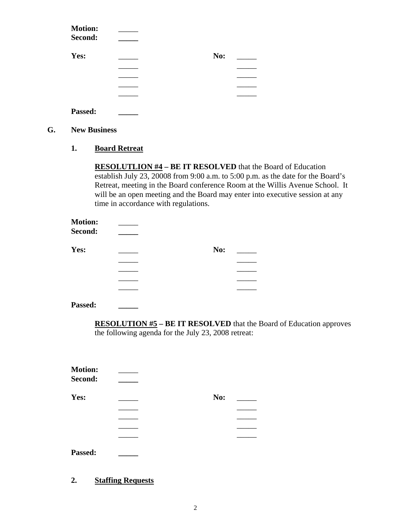| <b>Motion:</b> |     |  |
|----------------|-----|--|
| Second:        |     |  |
| Yes:           | No: |  |
|                |     |  |
|                |     |  |
|                |     |  |
|                |     |  |
| Passed:        |     |  |

- **G. New Business**
	- **1. Board Retreat**

**RESOLUTLION #4 – BE IT RESOLVED** that the Board of Education establish July 23, 20008 from 9:00 a.m. to 5:00 p.m. as the date for the Board's Retreat, meeting in the Board conference Room at the Willis Avenue School. It will be an open meeting and the Board may enter into executive session at any time in accordance with regulations.

| <b>Motion:</b><br>Second: |     |  |
|---------------------------|-----|--|
| Yes:                      | No: |  |
|                           |     |  |
|                           |     |  |
|                           |     |  |
|                           |     |  |
|                           |     |  |

**Passed: \_\_\_\_\_**

**RESOLUTION #5 – BE IT RESOLVED** that the Board of Education approves the following agenda for the July 23, 2008 retreat:

| <b>Motion:</b> |     |  |
|----------------|-----|--|
| Second:        |     |  |
| Yes:           | No: |  |
|                |     |  |
|                |     |  |
|                |     |  |
|                |     |  |

**Passed: \_\_\_\_\_**

#### **2. Staffing Requests**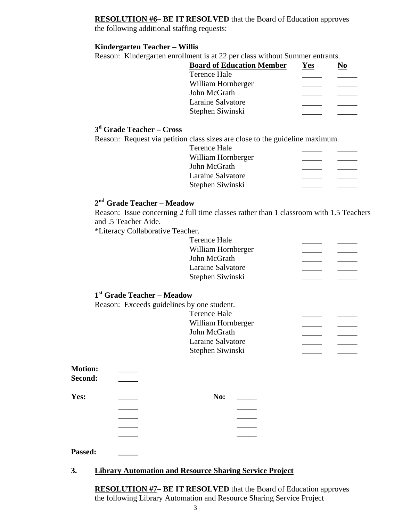#### **RESOLUTION #6– BE IT RESOLVED** that the Board of Education approves

the following additional staffing requests:

#### **Kindergarten Teacher – Willis**

Reason: Kindergarten enrollment is at 22 per class without Summer entrants.

| Yes | NΛ |
|-----|----|
|     |    |
|     |    |
|     |    |
|     |    |
|     |    |
|     |    |

#### **3d Grade Teacher – Cross**

Reason: Request via petition class sizes are close to the guideline maximum.

Terence Hale William Hornberger John McGrath \_\_\_\_\_ \_\_\_\_\_ Laraine Salvatore \_\_\_\_\_\_\_\_ \_\_\_\_\_\_\_ Stephen Siwinski

#### **2nd Grade Teacher – Meadow**

Reason: Issue concerning 2 full time classes rather than 1 classroom with 1.5 Teachers and .5 Teacher Aide.

\*Literacy Collaborative Teacher.

Terence Hale William Hornberger **\_\_\_\_\_\_** \_\_\_\_\_\_ John McGrath \_\_\_\_\_ \_\_\_\_\_ Laraine Salvatore \_\_\_\_\_\_\_\_ \_\_\_\_\_\_\_ Stephen Siwinski

#### **1st Grade Teacher – Meadow**

Reason: Exceeds guidelines by one student. Terence Hale William Hornberger \_\_\_\_\_ \_\_\_\_\_ John McGrath \_\_\_\_\_ \_\_\_\_\_ Laraine Salvatore Stephen Siwinski

| <b>Motion:</b> |     |  |
|----------------|-----|--|
| Second:        |     |  |
| Yes:           | No: |  |
|                |     |  |
|                |     |  |
|                |     |  |
|                |     |  |

#### **Passed: \_\_\_\_\_**

#### **3. Library Automation and Resource Sharing Service Project**

**RESOLUTION #7– BE IT RESOLVED** that the Board of Education approves the following Library Automation and Resource Sharing Service Project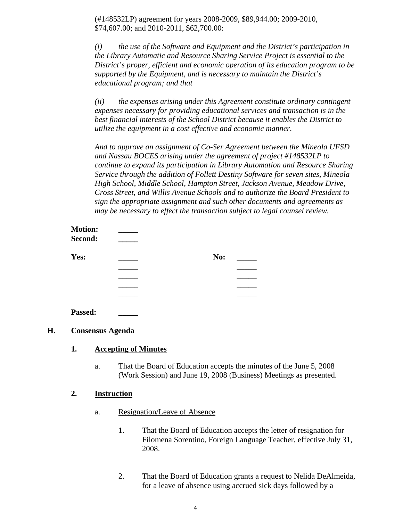(#148532LP) agreement for years 2008-2009, \$89,944.00; 2009-2010, \$74,607.00; and 2010-2011, \$62,700.00:

*(i) the use of the Software and Equipment and the District's participation in the Library Automatic and Resource Sharing Service Project is essential to the District's proper, efficient and economic operation of its education program to be supported by the Equipment, and is necessary to maintain the District's educational program; and that*

*(ii) the expenses arising under this Agreement constitute ordinary contingent expenses necessary for providing educational services and transaction is in the best financial interests of the School District because it enables the District to utilize the equipment in a cost effective and economic manner.*

*And to approve an assignment of Co-Ser Agreement between the Mineola UFSD and Nassau BOCES arising under the agreement of project #148532LP to continue to expand its participation in Library Automation and Resource Sharing Service through the addition of Follett Destiny Software for seven sites, Mineola High School, Middle School, Hampton Street, Jackson Avenue, Meadow Drive, Cross Street, and Willis Avenue Schools and to authorize the Board President to sign the appropriate assignment and such other documents and agreements as may be necessary to effect the transaction subject to legal counsel review.*

| <b>Motion:</b><br>Second: |     |  |
|---------------------------|-----|--|
| Yes:                      | No: |  |
|                           |     |  |
|                           |     |  |
|                           |     |  |
|                           |     |  |
| Passed:                   |     |  |

#### **H. Consensus Agenda**

#### **1. Accepting of Minutes**

a. That the Board of Education accepts the minutes of the June 5, 2008 (Work Session) and June 19, 2008 (Business) Meetings as presented.

#### **2. Instruction**

- a. Resignation/Leave of Absence
	- 1. That the Board of Education accepts the letter of resignation for Filomena Sorentino, Foreign Language Teacher, effective July 31, 2008.
	- 2. That the Board of Education grants a request to Nelida DeAlmeida, for a leave of absence using accrued sick days followed by a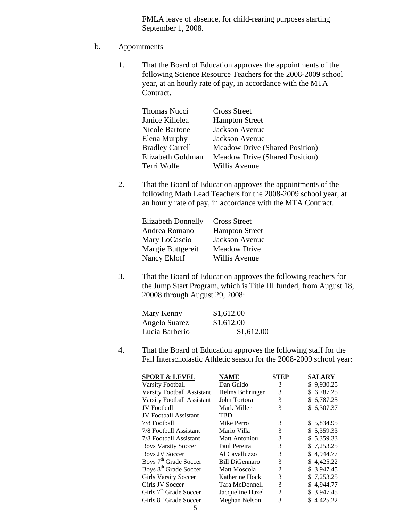FMLA leave of absence, for child-rearing purposes starting September 1, 2008.

#### b. Appointments

1. That the Board of Education approves the appointments of the following Science Resource Teachers for the 2008-2009 school year, at an hourly rate of pay, in accordance with the MTA Contract.

| <b>Thomas Nucci</b>    | <b>Cross Street</b>                   |
|------------------------|---------------------------------------|
| Janice Killelea        | <b>Hampton Street</b>                 |
| Nicole Bartone         | <b>Jackson Avenue</b>                 |
| Elena Murphy           | Jackson Avenue                        |
| <b>Bradley Carrell</b> | Meadow Drive (Shared Position)        |
| Elizabeth Goldman      | <b>Meadow Drive (Shared Position)</b> |
| Terri Wolfe            | Willis Avenue                         |

2. That the Board of Education approves the appointments of the following Math Lead Teachers for the 2008-2009 school year, at an hourly rate of pay, in accordance with the MTA Contract.

| <b>Elizabeth Donnelly</b> | <b>Cross Street</b>   |
|---------------------------|-----------------------|
| Andrea Romano             | <b>Hampton Street</b> |
| Mary LoCascio             | Jackson Avenue        |
| Margie Buttgereit         | <b>Meadow Drive</b>   |
| Nancy Ekloff              | Willis Avenue         |

3. That the Board of Education approves the following teachers for the Jump Start Program, which is Title III funded, from August 18, 20008 through August 29, 2008:

| Mary Kenny     | \$1,612.00 |
|----------------|------------|
| Angelo Suarez  | \$1,612.00 |
| Lucia Barberio | \$1,612.00 |

4. That the Board of Education approves the following staff for the Fall Interscholastic Athletic season for the 2008-2009 school year:

| <b>NAME</b>           | <b>STEP</b> | <b>SALARY</b> |
|-----------------------|-------------|---------------|
| Dan Guido             | 3           | \$9,930.25    |
| Helms Bohringer       | 3           | \$6,787.25    |
| John Tortora          | 3           | \$6,787.25    |
| Mark Miller           | 3           | \$6,307.37    |
| <b>TBD</b>            |             |               |
| Mike Perro            | 3           | \$5,834.95    |
| Mario Villa           | 3           | \$5,359.33    |
| <b>Matt Antoniou</b>  | 3           | \$5,359.33    |
| Paul Pereira          | 3           | \$7,253.25    |
| Al Cavalluzzo         | 3           | \$4,944.77    |
| <b>Bill DiGennaro</b> | 3           | \$4,425.22    |
| Matt Moscola          | 2           | \$ 3,947.45   |
| Katherine Hock        | 3           | \$7,253.25    |
| Tara McDonnell        | 3           | \$4,944.77    |
| Jacqueline Hazel      | 2           | \$ 3,947.45   |
| Meghan Nelson         | 3           | \$4,425.22    |
|                       |             |               |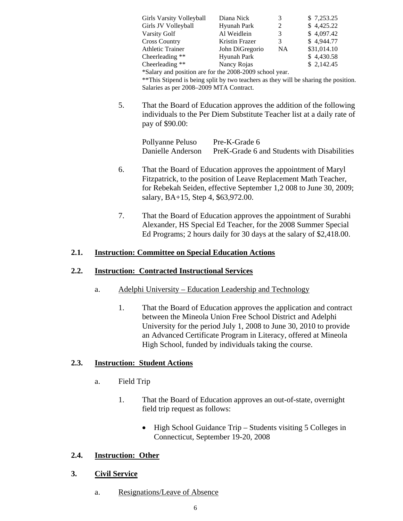| Girls Varsity Volleyball                                | Diana Nick      | 3         | \$7,253.25  |
|---------------------------------------------------------|-----------------|-----------|-------------|
| Girls JV Volleyball                                     | Hyunah Park     | 2         | \$4,425.22  |
| Varsity Golf                                            | Al Weidlein     | 3         | \$4,097.42  |
| <b>Cross Country</b>                                    | Kristin Frazer  | 3         | \$4,944.77  |
| <b>Athletic Trainer</b>                                 | John DiGregorio | <b>NA</b> | \$31,014.10 |
| Cheerleading **                                         | Hyunah Park     |           | \$4,430.58  |
| Cheerleading **                                         | Nancy Rojas     |           | \$2,142.45  |
| *Salary and position are for the 2008-2009 school year. |                 |           |             |

\*\*This Stipend is being split by two teachers as they will be sharing the position. Salaries as per 2008–2009 MTA Contract.

5. That the Board of Education approves the addition of the following individuals to the Per Diem Substitute Teacher list at a daily rate of pay of \$90.00:

| Pollyanne Peluso  | Pre-K-Grade 6                               |
|-------------------|---------------------------------------------|
| Danielle Anderson | PreK-Grade 6 and Students with Disabilities |

- 6. That the Board of Education approves the appointment of Maryl Fitzpatrick, to the position of Leave Replacement Math Teacher, for Rebekah Seiden, effective September 1,2 008 to June 30, 2009; salary, BA+15, Step 4, \$63,972.00.
- 7. That the Board of Education approves the appointment of Surabhi Alexander, HS Special Ed Teacher, for the 2008 Summer Special Ed Programs; 2 hours daily for 30 days at the salary of \$2,418.00.

#### **2.1. Instruction: Committee on Special Education Actions**

#### **2.2. Instruction: Contracted Instructional Services**

- a. Adelphi University Education Leadership and Technology
	- 1. That the Board of Education approves the application and contract between the Mineola Union Free School District and Adelphi University for the period July 1, 2008 to June 30, 2010 to provide an Advanced Certificate Program in Literacy, offered at Mineola High School, funded by individuals taking the course.

#### **2.3. Instruction: Student Actions**

- a. Field Trip
	- 1. That the Board of Education approves an out-of-state, overnight field trip request as follows:
		- High School Guidance Trip Students visiting 5 Colleges in Connecticut, September 19-20, 2008

#### **2.4. Instruction: Other**

#### **3. Civil Service**

a. Resignations/Leave of Absence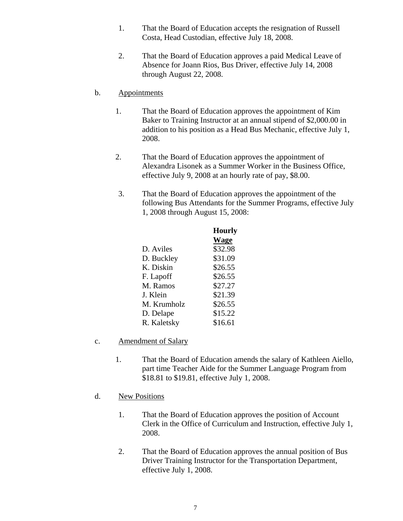- 1. That the Board of Education accepts the resignation of Russell Costa, Head Custodian, effective July 18, 2008.
- 2. That the Board of Education approves a paid Medical Leave of Absence for Joann Rios, Bus Driver, effective July 14, 2008 through August 22, 2008.

#### b. Appointments

- 1. That the Board of Education approves the appointment of Kim Baker to Training Instructor at an annual stipend of \$2,000.00 in addition to his position as a Head Bus Mechanic, effective July 1, 2008.
- 2. That the Board of Education approves the appointment of Alexandra Lisonek as a Summer Worker in the Business Office, effective July 9, 2008 at an hourly rate of pay, \$8.00.
- 3. That the Board of Education approves the appointment of the following Bus Attendants for the Summer Programs, effective July 1, 2008 through August 15, 2008:

|             | <b>Hourly</b> |
|-------------|---------------|
|             | <b>Wage</b>   |
| D. Aviles   | \$32.98       |
| D. Buckley  | \$31.09       |
| K. Diskin   | \$26.55       |
| F. Lapoff   | \$26.55       |
| M. Ramos    | \$27.27       |
| J. Klein    | \$21.39       |
| M. Krumholz | \$26.55       |
| D. Delape   | \$15.22       |
| R. Kaletsky | \$16.61       |

- c. Amendment of Salary
	- 1. That the Board of Education amends the salary of Kathleen Aiello, part time Teacher Aide for the Summer Language Program from \$18.81 to \$19.81, effective July 1, 2008.
- d. New Positions
	- 1. That the Board of Education approves the position of Account Clerk in the Office of Curriculum and Instruction, effective July 1, 2008.
	- 2. That the Board of Education approves the annual position of Bus Driver Training Instructor for the Transportation Department, effective July 1, 2008.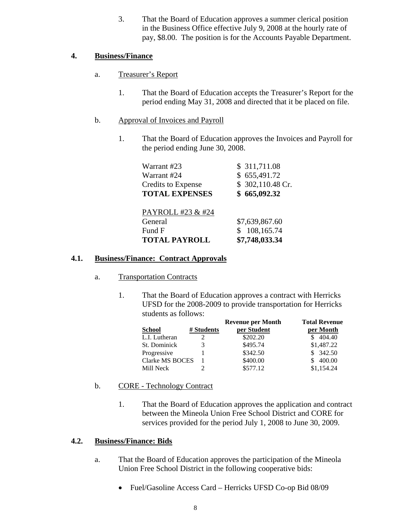3. That the Board of Education approves a summer clerical position in the Business Office effective July 9, 2008 at the hourly rate of pay, \$8.00. The position is for the Accounts Payable Department.

#### **4. Business/Finance**

- a. Treasurer's Report
	- 1. That the Board of Education accepts the Treasurer's Report for the period ending May 31, 2008 and directed that it be placed on file.

#### b. Approval of Invoices and Payroll

1. That the Board of Education approves the Invoices and Payroll for the period ending June 30, 2008.

| Warrant #23               | \$ 311,711.08    |
|---------------------------|------------------|
| Warrant #24               | \$655,491.72     |
| <b>Credits to Expense</b> | \$302,110.48 Cr. |
| <b>TOTAL EXPENSES</b>     | \$665,092.32     |
|                           |                  |
| PAYROLL #23 & #24         |                  |
| General                   | \$7,639,867.60   |
| Fund F                    | 108,165.74<br>S. |
| <b>TOTAL PAYROLL</b>      | \$7,748,033.34   |

#### **4.1. Business/Finance: Contract Approvals**

- a. Transportation Contracts
	- 1. That the Board of Education approves a contract with Herricks UFSD for the 2008-2009 to provide transportation for Herricks students as follows:

|                 |            | <b>Revenue per Month</b> | <b>Total Revenue</b> |
|-----------------|------------|--------------------------|----------------------|
| <b>School</b>   | # Students | per Student              | per Month            |
| L.I. Lutheran   |            | \$202.20                 | \$404.40             |
| St. Dominick    |            | \$495.74                 | \$1,487.22           |
| Progressive     |            | \$342.50                 | \$342.50             |
| Clarke MS BOCES |            | \$400.00                 | 400.00               |
| Mill Neck       |            | \$577.12                 | \$1,154.24           |

- b. CORE Technology Contract
	- 1. That the Board of Education approves the application and contract between the Mineola Union Free School District and CORE for services provided for the period July 1, 2008 to June 30, 2009.

#### **4.2. Business/Finance: Bids**

- a. That the Board of Education approves the participation of the Mineola Union Free School District in the following cooperative bids:
	- Fuel/Gasoline Access Card Herricks UFSD Co-op Bid 08/09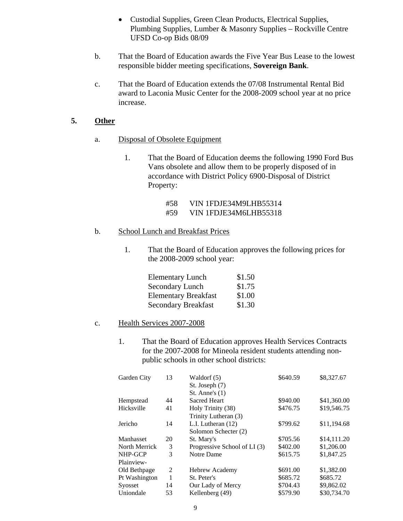- Custodial Supplies, Green Clean Products, Electrical Supplies, Plumbing Supplies, Lumber & Masonry Supplies – Rockville Centre UFSD Co-op Bids 08/09
- b. That the Board of Education awards the Five Year Bus Lease to the lowest responsible bidder meeting specifications, **Sovereign Bank**.
- c. That the Board of Education extends the 07/08 Instrumental Rental Bid award to Laconia Music Center for the 2008-2009 school year at no price increase.

#### **5. Other**

- a. Disposal of Obsolete Equipment
	- 1. That the Board of Education deems the following 1990 Ford Bus Vans obsolete and allow them to be properly disposed of in accordance with District Policy 6900-Disposal of District Property:
		- #58 VIN 1FDJE34M9LHB55314
		- #59 VIN 1FDJE34M6LHB55318

#### b. School Lunch and Breakfast Prices

1. That the Board of Education approves the following prices for the 2008-2009 school year:

| <b>Elementary Lunch</b>     | \$1.50 |
|-----------------------------|--------|
| Secondary Lunch             | \$1.75 |
| <b>Elementary Breakfast</b> | \$1.00 |
| <b>Secondary Breakfast</b>  | \$1.30 |

#### c. Health Services 2007-2008

1. That the Board of Education approves Health Services Contracts for the 2007-2008 for Mineola resident students attending nonpublic schools in other school districts:

| Garden City   | 13 | Waldorf (5)                  | \$640.59 | \$8,327.67  |
|---------------|----|------------------------------|----------|-------------|
|               |    | St. Joseph (7)               |          |             |
|               |    | St. Anne's $(1)$             |          |             |
| Hempstead     | 44 | <b>Sacred Heart</b>          | \$940.00 | \$41,360.00 |
| Hicksville    | 41 | Holy Trinity (38)            | \$476.75 | \$19,546.75 |
|               |    | Trinity Lutheran (3)         |          |             |
| Jericho       | 14 | L.I. Lutheran (12)           | \$799.62 | \$11,194.68 |
|               |    | Solomon Schecter (2)         |          |             |
| Manhasset     | 20 | St. Mary's                   | \$705.56 | \$14,111.20 |
| North Merrick | 3  | Progressive School of LI (3) | \$402.00 | \$1,206.00  |
| NHP-GCP       | 3  | Notre Dame                   | \$615.75 | \$1,847.25  |
| Plainview-    |    |                              |          |             |
| Old Bethpage  | 2  | <b>Hebrew Academy</b>        | \$691.00 | \$1,382.00  |
| Pt Washington | 1  | St. Peter's                  | \$685.72 | \$685.72    |
| Syosset       | 14 | Our Lady of Mercy            | \$704.43 | \$9,862.02  |
| Uniondale     | 53 | Kellenberg (49)              | \$579.90 | \$30,734.70 |
|               |    |                              |          |             |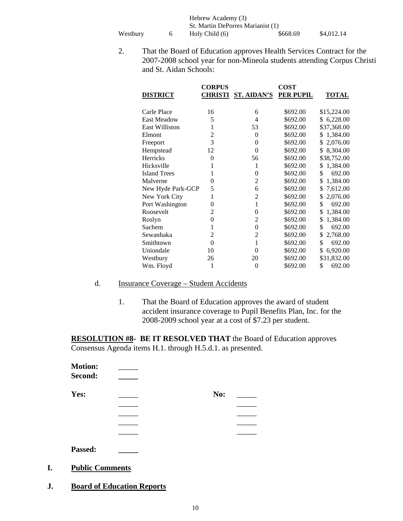Hebrew Academy (3) St. Martin DePorres Marianist (1)<br>Holy Child (6) \$668.69 Westbury 6 Holy Child (6) \$668.69 \$4,012.14

2. That the Board of Education approves Health Services Contract for the 2007-2008 school year for non-Mineola students attending Corpus Christi and St. Aidan Schools:

|                       | <b>CORPUS</b>  |                | <b>COST</b>      |                |
|-----------------------|----------------|----------------|------------------|----------------|
| <b>DISTRICT</b>       | <b>CHRISTI</b> | ST. AIDAN'S    | <b>PER PUPIL</b> | <b>TOTAL</b>   |
|                       |                |                |                  |                |
| Carle Place           | 16             | 6              | \$692.00         | \$15,224.00    |
| <b>East Meadow</b>    | 5              | 4              | \$692.00         | \$6,228.00     |
| <b>East Williston</b> | 1              | 53             | \$692.00         | \$37,368.00    |
| Elmont                | $\overline{2}$ | $\theta$       | \$692.00         | 1,384.00<br>\$ |
| Freeport              | 3              | $\theta$       | \$692.00         | 2,076.00<br>\$ |
| Hempstead             | 12             | $\Omega$       | \$692.00         | \$<br>8,304.00 |
| <b>Herricks</b>       | $\theta$       | 56             | \$692.00         | \$38,752.00    |
| Hicksville            | 1              | 1              | \$692.00         | 1,384.00<br>\$ |
| <b>Island Trees</b>   | 1              | $\theta$       | \$692.00         | \$<br>692.00   |
| Malverne              | $\theta$       | 2              | \$692.00         | \$<br>1,384.00 |
| New Hyde Park-GCP     | 5              | 6              | \$692.00         | \$<br>7,612.00 |
| New York City         | 1              | $\overline{c}$ | \$692.00         | 2,076.00<br>\$ |
| Port Washington       | $\theta$       | 1              | \$692.00         | \$<br>692.00   |
| Roosevelt             | $\overline{2}$ | 0              | \$692.00         | \$<br>1,384.00 |
| Roslyn                | $\theta$       | 2              | \$692.00         | \$<br>1,384.00 |
| Sachem                | 1              | $\theta$       | \$692.00         | \$<br>692.00   |
| Sewanhaka             | $\overline{2}$ | 2              | \$692.00         | \$<br>2,768.00 |
| Smithtown             | $\theta$       | 1              | \$692.00         | \$<br>692.00   |
| Uniondale             | 10             | $\Omega$       | \$692.00         | 6,920.00<br>\$ |
| Westbury              | 26             | 20             | \$692.00         | \$31,832.00    |
| Wm. Floyd             | 1              | 0              | \$692.00         | \$<br>692.00   |

#### d. Insurance Coverage – Student Accidents

1. That the Board of Education approves the award of student accident insurance coverage to Pupil Benefits Plan, Inc. for the 2008-2009 school year at a cost of \$7.23 per student.

**RESOLUTION #8- BE IT RESOLVED THAT** the Board of Education approves Consensus Agenda items H.1. through H.5.d.1. as presented.

| <b>Motion:</b><br>Second: |     |  |
|---------------------------|-----|--|
| Yes:                      | No: |  |
|                           |     |  |
|                           |     |  |
|                           |     |  |
|                           |     |  |
| Passed:                   |     |  |

- **I. Public Comments**
- **J. Board of Education Reports**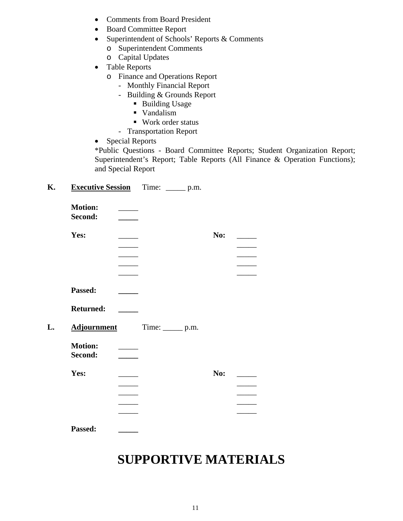- Comments from Board President
- Board Committee Report
- Superintendent of Schools' Reports & Comments
	- o Superintendent Comments
	- o Capital Updates
- Table Reports
	- o Finance and Operations Report
		- Monthly Financial Report
		- Building & Grounds Report
			- **Building Usage**
			- Vandalism
			- Work order status
		- Transportation Report
- Special Reports

\*Public Questions - Board Committee Reports; Student Organization Report; Superintendent's Report; Table Reports (All Finance & Operation Functions); and Special Report

#### **K. Executive Session** Time: \_\_\_\_\_ p.m.

| <b>Motion:</b><br>Second: |                    |     |  |
|---------------------------|--------------------|-----|--|
| Yes:                      |                    | No: |  |
|                           |                    |     |  |
|                           |                    |     |  |
|                           |                    |     |  |
|                           |                    |     |  |
| Passed:                   |                    |     |  |
| <b>Returned:</b>          |                    |     |  |
| <b>Adjournment</b>        | Time: _______ p.m. |     |  |
| <b>Motion:</b>            |                    |     |  |
| Second:                   |                    |     |  |
| Yes:                      |                    | No: |  |
|                           |                    |     |  |
|                           |                    |     |  |
|                           |                    |     |  |
|                           |                    |     |  |
|                           |                    |     |  |

### **SUPPORTIVE MATERIALS**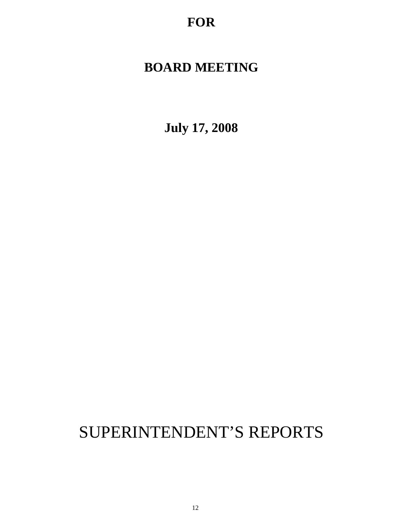**FOR**

### **BOARD MEETING**

**July 17, 2008**

## SUPERINTENDENT'S REPORTS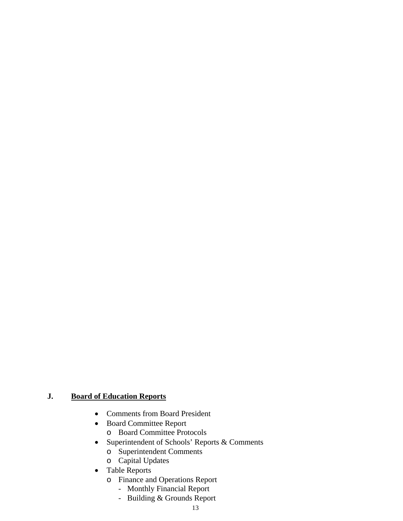### **J. Board of Education Reports**

- Comments from Board President
- Board Committee Report o Board Committee Protocols
- Superintendent of Schools' Reports & Comments
	- o Superintendent Comments
	- o Capital Updates
- Table Reports
	- o Finance and Operations Report
		- Monthly Financial Report
		- Building & Grounds Report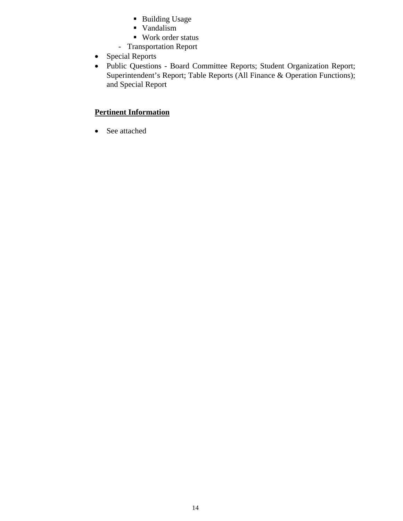- **Building Usage**
- Vandalism
- Work order status
- Transportation Report
- Special Reports
- Public Questions Board Committee Reports; Student Organization Report; Superintendent's Report; Table Reports (All Finance & Operation Functions); and Special Report

#### **Pertinent Information**

• See attached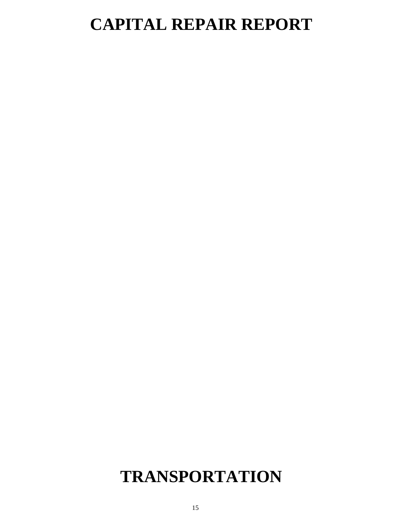# **CAPITAL REPAIR REPORT**

## **TRANSPORTATION**